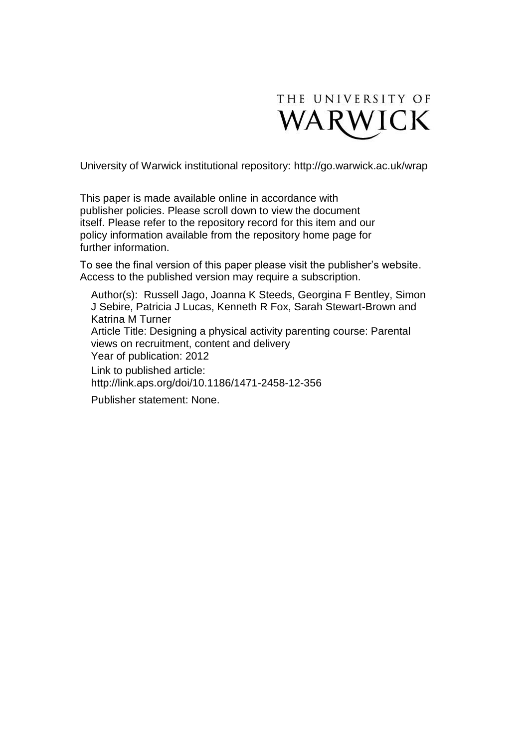

University of Warwick institutional repository:<http://go.warwick.ac.uk/wrap>

This paper is made available online in accordance with publisher policies. Please scroll down to view the document itself. Please refer to the repository record for this item and our policy information available from the repository home page for further information.

To see the final version of this paper please visit the publisher's website. Access to the published version may require a subscription.

Author(s): Russell Jago, Joanna K Steeds, Georgina F Bentley, Simon J Sebire, Patricia J Lucas, Kenneth R Fox, Sarah Stewart-Brown and Katrina M Turner Article Title: Designing a physical activity parenting course: Parental views on recruitment, content and delivery Year of publication: 2012 Link to published article: http://link.aps.org/doi/10.1186/1471-2458-12-356

Publisher statement: None.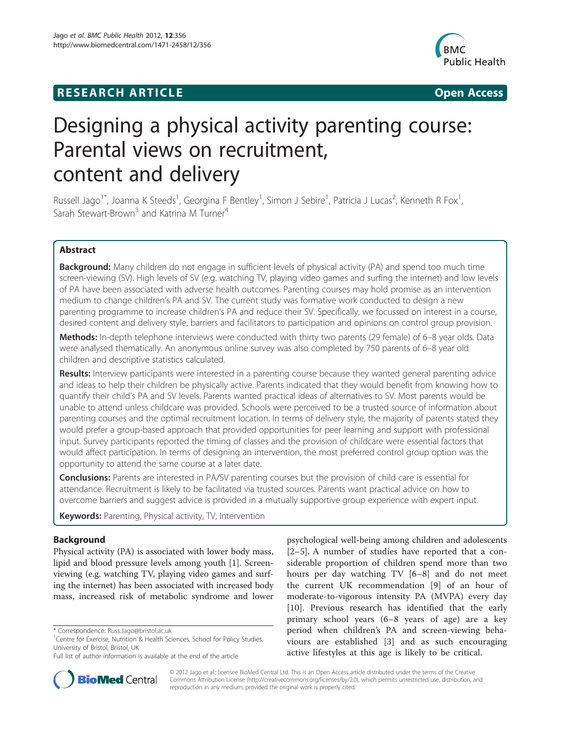## **RESEARCH ARTICLE Example 2014 The SEARCH ARTICLE**



# Designing a physical activity parenting course: Parental views on recruitment, content and delivery

Russell Jago<sup>1\*</sup>, Joanna K Steeds<sup>1</sup>, Georgina F Bentley<sup>1</sup>, Simon J Sebire<sup>1</sup>, Patricia J Lucas<sup>2</sup>, Kenneth R Fox<sup>1</sup> , Sarah Stewart-Brown<sup>3</sup> and Katrina M Turner<sup>4</sup>

## Abstract

Background: Many children do not engage in sufficient levels of physical activity (PA) and spend too much time screen-viewing (SV). High levels of SV (e.g. watching TV, playing video games and surfing the internet) and low levels of PA have been associated with adverse health outcomes. Parenting courses may hold promise as an intervention medium to change children's PA and SV. The current study was formative work conducted to design a new parenting programme to increase children's PA and reduce their SV. Specifically, we focussed on interest in a course, desired content and delivery style, barriers and facilitators to participation and opinions on control group provision.

Methods: In-depth telephone interviews were conducted with thirty two parents (29 female) of 6–8 year olds. Data were analysed thematically. An anonymous online survey was also completed by 750 parents of 6–8 year old children and descriptive statistics calculated.

Results: Interview participants were interested in a parenting course because they wanted general parenting advice and ideas to help their children be physically active. Parents indicated that they would benefit from knowing how to quantify their child's PA and SV levels. Parents wanted practical ideas of alternatives to SV. Most parents would be unable to attend unless childcare was provided. Schools were perceived to be a trusted source of information about parenting courses and the optimal recruitment location. In terms of delivery style, the majority of parents stated they would prefer a group-based approach that provided opportunities for peer learning and support with professional input. Survey participants reported the timing of classes and the provision of childcare were essential factors that would affect participation. In terms of designing an intervention, the most preferred control group option was the opportunity to attend the same course at a later date.

**Conclusions:** Parents are interested in PA/SV parenting courses but the provision of child care is essential for attendance. Recruitment is likely to be facilitated via trusted sources. Parents want practical advice on how to overcome barriers and suggest advice is provided in a mutually supportive group experience with expert input.

Keywords: Parenting, Physical activity, TV, Intervention

## Background

Physical activity (PA) is associated with lower body mass, lipid and blood pressure levels among youth [\[1](#page-9-0)]. Screenviewing (e.g. watching TV, playing video games and surfing the internet) has been associated with increased body mass, increased risk of metabolic syndrome and lower

psychological well-being among children and adolescents [[2](#page-9-0)–[5\]](#page-9-0). A number of studies have reported that a considerable proportion of children spend more than two hours per day watching TV [[6](#page-9-0)–[8](#page-9-0)] and do not meet the current UK recommendation [\[9](#page-9-0)] of an hour of moderate-to-vigorous intensity PA (MVPA) every day [[10\]](#page-9-0). Previous research has identified that the early primary school years (6–8 years of age) are a key period when children's PA and screen-viewing behaviours are established [[3\]](#page-9-0) and as such encouraging active lifestyles at this age is likely to be critical.



© 2012 Jago et al.; licensee BioMed Central Ltd. This is an Open Access article distributed under the terms of the Creative Commons Attribution License ([http://creativecommons.org/licenses/by/2.0\)](http://creativecommons.org/licenses/by/2.0), which permits unrestricted use, distribution, and reproduction in any medium, provided the original work is properly cited.

<sup>\*</sup> Correspondence: [Russ.Jago@bristol.ac.uk](mailto:Russ.Jago@bristol.ac.uk) <sup>1</sup>

<sup>&</sup>lt;sup>1</sup> Centre for Exercise, Nutrition & Health Sciences, School for Policy Studies, University of Bristol, Bristol, UK

Full list of author information is available at the end of the article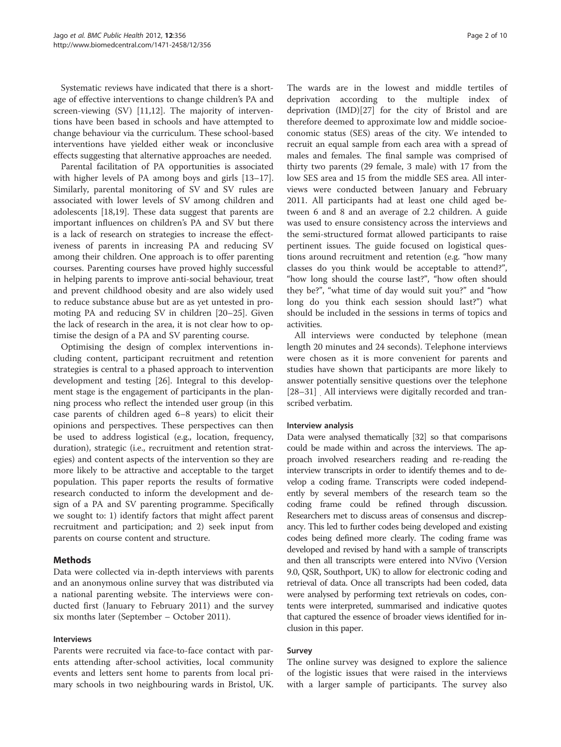Systematic reviews have indicated that there is a shortage of effective interventions to change children's PA and screen-viewing (SV) [[11,12](#page-9-0)]. The majority of interventions have been based in schools and have attempted to change behaviour via the curriculum. These school-based interventions have yielded either weak or inconclusive effects suggesting that alternative approaches are needed.

Parental facilitation of PA opportunities is associated with higher levels of PA among boys and girls [[13](#page-9-0)–[17](#page-9-0)]. Similarly, parental monitoring of SV and SV rules are associated with lower levels of SV among children and adolescents [\[18,19\]](#page-9-0). These data suggest that parents are important influences on children's PA and SV but there is a lack of research on strategies to increase the effectiveness of parents in increasing PA and reducing SV among their children. One approach is to offer parenting courses. Parenting courses have proved highly successful in helping parents to improve anti-social behaviour, treat and prevent childhood obesity and are also widely used to reduce substance abuse but are as yet untested in promoting PA and reducing SV in children [[20](#page-9-0)–[25](#page-9-0)]. Given the lack of research in the area, it is not clear how to optimise the design of a PA and SV parenting course.

Optimising the design of complex interventions including content, participant recruitment and retention strategies is central to a phased approach to intervention development and testing [[26\]](#page-9-0). Integral to this development stage is the engagement of participants in the planning process who reflect the intended user group (in this case parents of children aged 6–8 years) to elicit their opinions and perspectives. These perspectives can then be used to address logistical (e.g., location, frequency, duration), strategic (i.e., recruitment and retention strategies) and content aspects of the intervention so they are more likely to be attractive and acceptable to the target population. This paper reports the results of formative research conducted to inform the development and design of a PA and SV parenting programme. Specifically we sought to: 1) identify factors that might affect parent recruitment and participation; and 2) seek input from parents on course content and structure.

## Methods

Data were collected via in-depth interviews with parents and an anonymous online survey that was distributed via a national parenting website. The interviews were conducted first (January to February 2011) and the survey six months later (September – October 2011).

#### Interviews

Parents were recruited via face-to-face contact with parents attending after-school activities, local community events and letters sent home to parents from local primary schools in two neighbouring wards in Bristol, UK.

The wards are in the lowest and middle tertiles of deprivation according to the multiple index of deprivation (IMD)[\[27\]](#page-9-0) for the city of Bristol and are therefore deemed to approximate low and middle socioeconomic status (SES) areas of the city. We intended to recruit an equal sample from each area with a spread of males and females. The final sample was comprised of thirty two parents (29 female, 3 male) with 17 from the low SES area and 15 from the middle SES area. All interviews were conducted between January and February 2011. All participants had at least one child aged between 6 and 8 and an average of 2.2 children. A guide was used to ensure consistency across the interviews and the semi-structured format allowed participants to raise pertinent issues. The guide focused on logistical questions around recruitment and retention (e.g. "how many classes do you think would be acceptable to attend?", "how long should the course last?", "how often should they be?", "what time of day would suit you?" and "how long do you think each session should last?") what should be included in the sessions in terms of topics and activities.

All interviews were conducted by telephone (mean length 20 minutes and 24 seconds). Telephone interviews were chosen as it is more convenient for parents and studies have shown that participants are more likely to answer potentially sensitive questions over the telephone [[28](#page-9-0)–[31](#page-9-0)] . All interviews were digitally recorded and transcribed verbatim.

#### Interview analysis

Data were analysed thematically [[32](#page-9-0)] so that comparisons could be made within and across the interviews. The approach involved researchers reading and re-reading the interview transcripts in order to identify themes and to develop a coding frame. Transcripts were coded independently by several members of the research team so the coding frame could be refined through discussion. Researchers met to discuss areas of consensus and discrepancy. This led to further codes being developed and existing codes being defined more clearly. The coding frame was developed and revised by hand with a sample of transcripts and then all transcripts were entered into NVivo (Version 9.0, QSR, Southport, UK) to allow for electronic coding and retrieval of data. Once all transcripts had been coded, data were analysed by performing text retrievals on codes, contents were interpreted, summarised and indicative quotes that captured the essence of broader views identified for inclusion in this paper.

#### Survey

The online survey was designed to explore the salience of the logistic issues that were raised in the interviews with a larger sample of participants. The survey also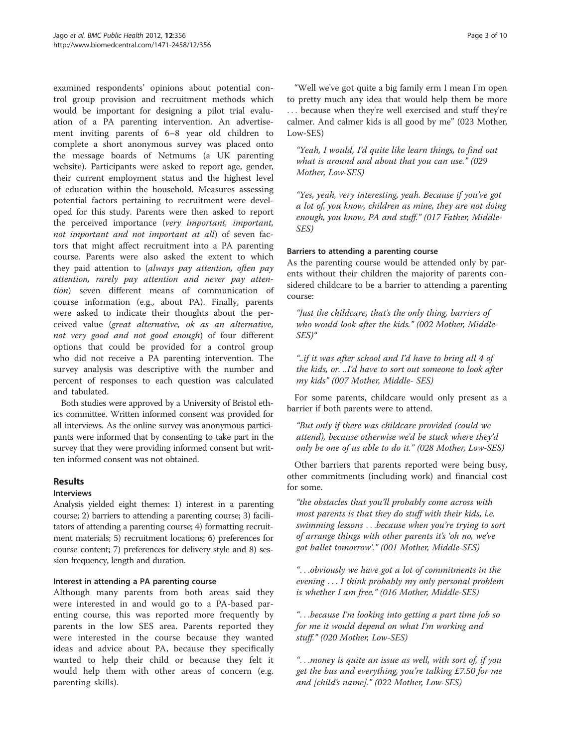examined respondents' opinions about potential control group provision and recruitment methods which would be important for designing a pilot trial evaluation of a PA parenting intervention. An advertisement inviting parents of 6–8 year old children to complete a short anonymous survey was placed onto the message boards of Netmums (a UK parenting website). Participants were asked to report age, gender, their current employment status and the highest level of education within the household. Measures assessing potential factors pertaining to recruitment were developed for this study. Parents were then asked to report the perceived importance (very important, important, not important and not important at all) of seven factors that might affect recruitment into a PA parenting course. Parents were also asked the extent to which they paid attention to (always pay attention, often pay attention, rarely pay attention and never pay attention) seven different means of communication of course information (e.g., about PA). Finally, parents were asked to indicate their thoughts about the perceived value (great alternative, ok as an alternative, not very good and not good enough) of four different options that could be provided for a control group who did not receive a PA parenting intervention. The survey analysis was descriptive with the number and percent of responses to each question was calculated and tabulated.

Both studies were approved by a University of Bristol ethics committee. Written informed consent was provided for all interviews. As the online survey was anonymous participants were informed that by consenting to take part in the survey that they were providing informed consent but written informed consent was not obtained.

## Results

## Interviews

Analysis yielded eight themes: 1) interest in a parenting course; 2) barriers to attending a parenting course; 3) facilitators of attending a parenting course; 4) formatting recruitment materials; 5) recruitment locations; 6) preferences for course content; 7) preferences for delivery style and 8) session frequency, length and duration.

## Interest in attending a PA parenting course

Although many parents from both areas said they were interested in and would go to a PA-based parenting course, this was reported more frequently by parents in the low SES area. Parents reported they were interested in the course because they wanted ideas and advice about PA, because they specifically wanted to help their child or because they felt it would help them with other areas of concern (e.g. parenting skills).

"Well we've got quite a big family erm I mean I'm open to pretty much any idea that would help them be more ... because when they're well exercised and stuff they're calmer. And calmer kids is all good by me" (023 Mother, Low-SES)

"Yeah, I would, I'd quite like learn things, to find out what is around and about that you can use." (029 Mother, Low-SES)

"Yes, yeah, very interesting, yeah. Because if you've got a lot of, you know, children as mine, they are not doing enough, you know, PA and stuff." (017 Father, Middle-SES)

#### Barriers to attending a parenting course

As the parenting course would be attended only by parents without their children the majority of parents considered childcare to be a barrier to attending a parenting course:

"Just the childcare, that's the only thing, barriers of who would look after the kids." (002 Mother, Middle- $SES$ <sup>"</sup>

"..if it was after school and I'd have to bring all 4 of the kids, or. ..I'd have to sort out someone to look after my kids" (007 Mother, Middle- SES)

For some parents, childcare would only present as a barrier if both parents were to attend.

"But only if there was childcare provided (could we attend), because otherwise we'd be stuck where they'd only be one of us able to do it." (028 Mother, Low-SES)

Other barriers that parents reported were being busy, other commitments (including work) and financial cost for some.

"the obstacles that you'll probably come across with most parents is that they do stuff with their kids, i.e. swimming lessons ...because when you're trying to sort of arrange things with other parents it's 'oh no, we've got ballet tomorrow'." (001 Mother, Middle-SES)

"...obviously we have got a lot of commitments in the evening ... I think probably my only personal problem is whether I am free." (016 Mother, Middle-SES)

"...because I'm looking into getting a part time job so for me it would depend on what I'm working and stuff." (020 Mother, Low-SES)

"...money is quite an issue as well, with sort of, if you get the bus and everything, you're talking £7.50 for me and [child's name]." (022 Mother, Low-SES)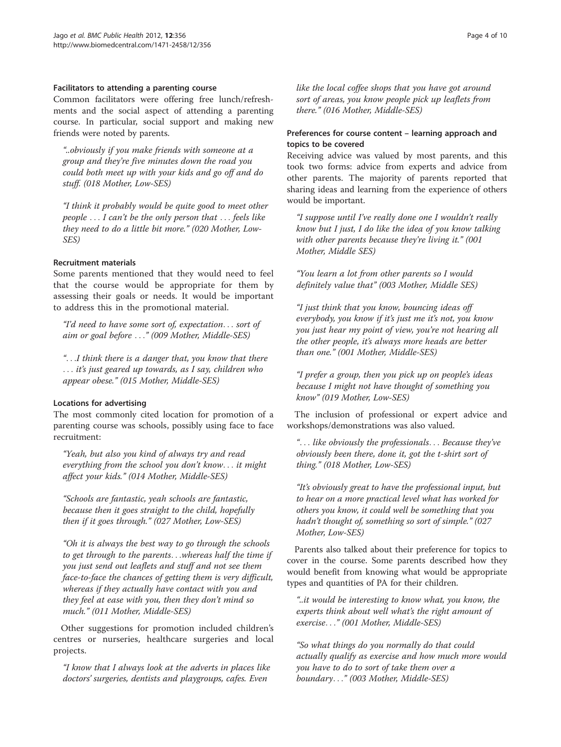#### Facilitators to attending a parenting course

Common facilitators were offering free lunch/refreshments and the social aspect of attending a parenting course. In particular, social support and making new friends were noted by parents.

"..obviously if you make friends with someone at a group and they're five minutes down the road you could both meet up with your kids and go off and do stuff. (018 Mother, Low-SES)

"I think it probably would be quite good to meet other people ... I can't be the only person that ... feels like they need to do a little bit more." (020 Mother, Low-SES)

#### Recruitment materials

Some parents mentioned that they would need to feel that the course would be appropriate for them by assessing their goals or needs. It would be important to address this in the promotional material.

"I'd need to have some sort of, expectation... sort of aim or goal before ..." (009 Mother, Middle-SES)

"...I think there is a danger that, you know that there ... it's just geared up towards, as I say, children who appear obese." (015 Mother, Middle-SES)

## Locations for advertising

The most commonly cited location for promotion of a parenting course was schools, possibly using face to face recruitment:

"Yeah, but also you kind of always try and read everything from the school you don't know... it might affect your kids." (014 Mother, Middle-SES)

"Schools are fantastic, yeah schools are fantastic, because then it goes straight to the child, hopefully then if it goes through." (027 Mother, Low-SES)

"Oh it is always the best way to go through the schools to get through to the parents...whereas half the time if you just send out leaflets and stuff and not see them face-to-face the chances of getting them is very difficult, whereas if they actually have contact with you and they feel at ease with you, then they don't mind so much." (011 Mother, Middle-SES)

Other suggestions for promotion included children's centres or nurseries, healthcare surgeries and local projects.

"I know that I always look at the adverts in places like doctors' surgeries, dentists and playgroups, cafes. Even

like the local coffee shops that you have got around sort of areas, you know people pick up leaflets from there." (016 Mother, Middle-SES)

## Preferences for course content – learning approach and topics to be covered

Receiving advice was valued by most parents, and this took two forms: advice from experts and advice from other parents. The majority of parents reported that sharing ideas and learning from the experience of others would be important.

"I suppose until I've really done one I wouldn't really know but I just, I do like the idea of you know talking with other parents because they're living it." (001 Mother, Middle SES)

"You learn a lot from other parents so I would definitely value that" (003 Mother, Middle SES)

"I just think that you know, bouncing ideas off everybody, you know if it's just me it's not, you know you just hear my point of view, you're not hearing all the other people, it's always more heads are better than one." (001 Mother, Middle-SES)

"I prefer a group, then you pick up on people's ideas because I might not have thought of something you know" (019 Mother, Low-SES)

The inclusion of professional or expert advice and workshops/demonstrations was also valued.

"... like obviously the professionals... Because they've obviously been there, done it, got the t-shirt sort of thing." (018 Mother, Low-SES)

"It's obviously great to have the professional input, but to hear on a more practical level what has worked for others you know, it could well be something that you hadn't thought of, something so sort of simple." (027 Mother, Low-SES)

Parents also talked about their preference for topics to cover in the course. Some parents described how they would benefit from knowing what would be appropriate types and quantities of PA for their children.

"..it would be interesting to know what, you know, the experts think about well what's the right amount of exercise..." (001 Mother, Middle-SES)

"So what things do you normally do that could actually qualify as exercise and how much more would you have to do to sort of take them over a boundary..." (003 Mother, Middle-SES)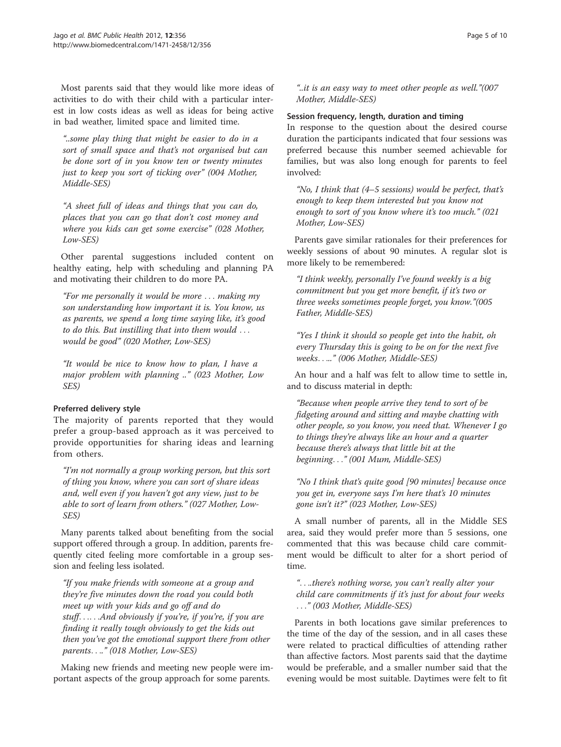Most parents said that they would like more ideas of activities to do with their child with a particular interest in low costs ideas as well as ideas for being active in bad weather, limited space and limited time.

"..some play thing that might be easier to do in a sort of small space and that's not organised but can be done sort of in you know ten or twenty minutes just to keep you sort of ticking over" (004 Mother, Middle-SES)

"A sheet full of ideas and things that you can do, places that you can go that don't cost money and where you kids can get some exercise" (028 Mother, Low-SES)

Other parental suggestions included content on healthy eating, help with scheduling and planning PA and motivating their children to do more PA.

"For me personally it would be more ... making my son understanding how important it is. You know, us as parents, we spend a long time saying like, it's good to do this. But instilling that into them would ... would be good" (020 Mother, Low-SES)

"It would be nice to know how to plan, I have a major problem with planning .." (023 Mother, Low SES)

## Preferred delivery style

The majority of parents reported that they would prefer a group-based approach as it was perceived to provide opportunities for sharing ideas and learning from others.

"I'm not normally a group working person, but this sort of thing you know, where you can sort of share ideas and, well even if you haven't got any view, just to be able to sort of learn from others." (027 Mother, Low-SES)

Many parents talked about benefiting from the social support offered through a group. In addition, parents frequently cited feeling more comfortable in a group session and feeling less isolated.

"If you make friends with someone at a group and they're five minutes down the road you could both meet up with your kids and go off and do stuff......And obviously if you're, if you're, if you are finding it really tough obviously to get the kids out then you've got the emotional support there from other parents...." (018 Mother, Low-SES)

Making new friends and meeting new people were important aspects of the group approach for some parents.

"..it is an easy way to meet other people as well."(007 Mother, Middle-SES)

#### Session frequency, length, duration and timing

In response to the question about the desired course duration the participants indicated that four sessions was preferred because this number seemed achievable for families, but was also long enough for parents to feel involved:

"No, I think that (4–5 sessions) would be perfect, that's enough to keep them interested but you know not enough to sort of you know where it's too much." (021 Mother, Low-SES)

Parents gave similar rationales for their preferences for weekly sessions of about 90 minutes. A regular slot is more likely to be remembered:

"I think weekly, personally I've found weekly is a big commitment but you get more benefit, if it's two or three weeks sometimes people forget, you know."(005 Father, Middle-SES)

"Yes I think it should so people get into the habit, oh every Thursday this is going to be on for the next five weeks....." (006 Mother, Middle-SES)

An hour and a half was felt to allow time to settle in, and to discuss material in depth:

"Because when people arrive they tend to sort of be fidgeting around and sitting and maybe chatting with other people, so you know, you need that. Whenever I go to things they're always like an hour and a quarter because there's always that little bit at the beginning..." (001 Mum, Middle-SES)

"No I think that's quite good [90 minutes] because once you get in, everyone says I'm here that's 10 minutes gone isn't it?" (023 Mother, Low-SES)

A small number of parents, all in the Middle SES area, said they would prefer more than 5 sessions, one commented that this was because child care commitment would be difficult to alter for a short period of time.

"....there's nothing worse, you can't really alter your child care commitments if it's just for about four weeks ..." (003 Mother, Middle-SES)

Parents in both locations gave similar preferences to the time of the day of the session, and in all cases these were related to practical difficulties of attending rather than affective factors. Most parents said that the daytime would be preferable, and a smaller number said that the evening would be most suitable. Daytimes were felt to fit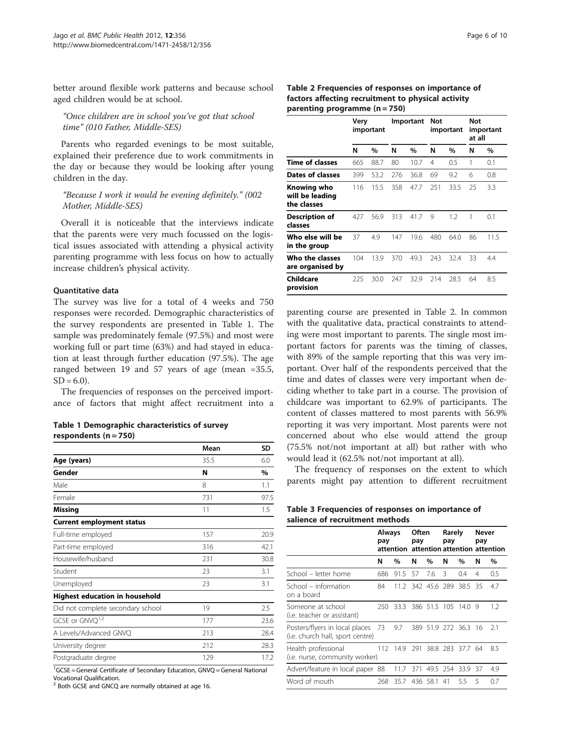<span id="page-6-0"></span>better around flexible work patterns and because school aged children would be at school.

"Once children are in school you've got that school time" (010 Father, Middle-SES)

Parents who regarded evenings to be most suitable, explained their preference due to work commitments in the day or because they would be looking after young children in the day.

## "Because I work it would be evening definitely." (002 Mother, Middle-SES)

Overall it is noticeable that the interviews indicate that the parents were very much focussed on the logistical issues associated with attending a physical activity parenting programme with less focus on how to actually increase children's physical activity.

#### Quantitative data

The survey was live for a total of 4 weeks and 750 responses were recorded. Demographic characteristics of the survey respondents are presented in Table 1. The sample was predominately female (97.5%) and most were working full or part time (63%) and had stayed in education at least through further education (97.5%). The age ranged between 19 and 57 years of age (mean =35.5,  $SD = 6.0$ ).

The frequencies of responses on the perceived importance of factors that might affect recruitment into a

|                         | Table 1 Demographic characteristics of survey |  |
|-------------------------|-----------------------------------------------|--|
| respondents $(n = 750)$ |                                               |  |

|                                                                                        | Mean          | SD        |
|----------------------------------------------------------------------------------------|---------------|-----------|
| Age (years)                                                                            | 35.5          | 6.0       |
| Gender                                                                                 | N             | $\%$      |
| Male                                                                                   | 8             | 1.1       |
| Female                                                                                 | 731           | 97.5      |
| Missing                                                                                | 11            | 1.5       |
| <b>Current employment status</b>                                                       |               |           |
| Full-time employed                                                                     | 157           | 20.9      |
| Part-time employed                                                                     | 316           | 42.1      |
| Housewife/husband                                                                      | 231           | 30.8      |
| Student                                                                                | 23            | 3.1       |
| Unemployed                                                                             | 23            | 3.1       |
| <b>Highest education in household</b>                                                  |               |           |
| Did not complete secondary school                                                      | 19            | $2.5\,$   |
| GCSE or GNVO <sup>1,2</sup>                                                            | 177           | 23.6      |
| A Levels/Advanced GNVQ                                                                 | 213           | 28.4      |
| University degree                                                                      | 212           | 28.3      |
| Postgraduate degree                                                                    | 129           | 17.2      |
| $1 - \gamma$<br>$-1$ $+$<br>$\epsilon$ $\epsilon$<br><b>Contract Contract Contract</b> | $\sim$ $\sim$ | 1.1.1.1.1 |

<sup>1</sup>GCSE = General Certificate of Secondary Education, GNVQ = General National Vocational Qualification.

<sup>2</sup> Both GCSE and GNCQ are normally obtained at age 16.

#### Table 2 Frequencies of responses on importance of factors affecting recruitment to physical activity parenting programme (n = 750)

|                                               | Very<br>important |      | Important |      | Not<br>important |      | <b>Not</b><br>important<br>at all |      |
|-----------------------------------------------|-------------------|------|-----------|------|------------------|------|-----------------------------------|------|
|                                               | N                 | %    | N         | %    | N                | %    | N                                 | %    |
| Time of classes                               | 665               | 88.7 | 80        | 10.7 | 4                | 0.5  | 1                                 | 0.1  |
| Dates of classes                              | 399               | 53.2 | 276       | 36.8 | 69               | 9.2  | 6                                 | 0.8  |
| Knowing who<br>will be leading<br>the classes | 116               | 15.5 | 358       | 47.7 | 251              | 33.5 | 25                                | 3.3  |
| <b>Description of</b><br>classes              | 427               | 56.9 | 313       | 41.7 | 9                | 1.2  | 1                                 | 0.1  |
| Who else will be<br>in the group              | 37                | 4.9  | 147       | 19.6 | 480              | 64.0 | 86                                | 11.5 |
| Who the classes<br>are organised by           | 104               | 13.9 | 370       | 49.3 | 243              | 32.4 | 33                                | 4.4  |
| Childcare<br>provision                        | 225               | 30.0 | 247       | 32.9 | 214              | 28.5 | 64                                | 8.5  |

parenting course are presented in Table 2. In common with the qualitative data, practical constraints to attending were most important to parents. The single most important factors for parents was the timing of classes, with 89% of the sample reporting that this was very important. Over half of the respondents perceived that the time and dates of classes were very important when deciding whether to take part in a course. The provision of childcare was important to 62.9% of participants. The content of classes mattered to most parents with 56.9% reporting it was very important. Most parents were not concerned about who else would attend the group (75.5% not/not important at all) but rather with who would lead it (62.5% not/not important at all).

The frequency of responses on the extent to which parents might pay attention to different recruitment

| Table 3 Frequencies of responses on importance of |  |
|---------------------------------------------------|--|
| salience of recruitment methods                   |  |

|                                                                    | Always<br>pay<br>attention attention attention attention |          | Often<br>pay |              | Rarely<br>pay |                      | Never<br>pay |      |
|--------------------------------------------------------------------|----------------------------------------------------------|----------|--------------|--------------|---------------|----------------------|--------------|------|
|                                                                    | N                                                        | $\%$     | N            | %            | N             | %                    | N            | $\%$ |
| School – letter home                                               | 686                                                      | 91.5     | 57           | 7.6          | Β             | 0.4                  | 4            | 0.5  |
| School – information<br>on a board                                 | 84                                                       | 112      |              | 342 45.6 289 |               | 38.5                 | 35           | 4.7  |
| Someone at school<br>(i.e. teacher or assistant)                   | 250.                                                     | 33.3     |              |              |               | 386 51.5 105 14.0 9  |              | 1.2  |
| Posters/flyers in local places<br>(i.e. church hall, sport centre) | 73                                                       | 9.7      |              |              |               | 389 51.9 272 36.3 16 |              | 2.1  |
| Health professional<br>(i.e. nurse, community worker)              |                                                          | 112 14.9 |              |              |               | 291 38.8 283 37.7 64 |              | 8.5  |
| Advert/feature in local paper                                      | 88                                                       | 11.7     | 371          |              |               | 49.5 254 33.9 37     |              | 4.9  |
| Word of mouth                                                      | 268                                                      | 35.7     |              | 436 58.1 41  |               | 5.5                  | 5            | 07   |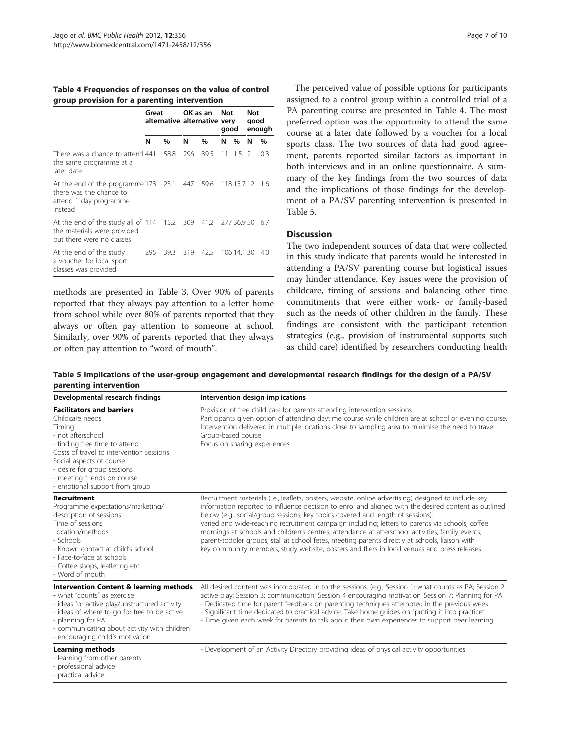Table 4 Frequencies of responses on the value of control group provision for a parenting intervention

|                                                                                                                         | Great |      | OK as an<br>alternative alternative very |      | Not<br>good |             | Not<br>good<br>enough |       |
|-------------------------------------------------------------------------------------------------------------------------|-------|------|------------------------------------------|------|-------------|-------------|-----------------------|-------|
|                                                                                                                         | N     | $\%$ | N                                        | $\%$ | N           | $\%$        | N                     | $\%$  |
| There was a chance to attend 441<br>the same programme at a<br>later date                                               |       | 58.8 | 296                                      | 39.5 | 11          | 15          | $\mathcal{P}$         | 0.3   |
| At the end of the programme $173$ 23.1 447 59.6<br>there was the chance to<br>attend 1 day programme<br>instead         |       |      |                                          |      |             | 118 15.7 12 |                       | - 1.6 |
| At the end of the study all of 114 15.2 309 41.2 277 36.950<br>the materials were provided<br>but there were no classes |       |      |                                          |      |             |             |                       | -6.7  |
| At the end of the study<br>a voucher for local sport<br>classes was provided                                            | 295   | 39.3 | 319                                      | 42.5 |             | 106 14.1 30 |                       | 4.0   |

methods are presented in Table [3](#page-6-0). Over 90% of parents reported that they always pay attention to a letter home from school while over 80% of parents reported that they always or often pay attention to someone at school. Similarly, over 90% of parents reported that they always or often pay attention to "word of mouth".

The perceived value of possible options for participants assigned to a control group within a controlled trial of a PA parenting course are presented in Table 4. The most preferred option was the opportunity to attend the same course at a later date followed by a voucher for a local sports class. The two sources of data had good agreement, parents reported similar factors as important in both interviews and in an online questionnaire. A summary of the key findings from the two sources of data and the implications of those findings for the development of a PA/SV parenting intervention is presented in Table 5.

#### **Discussion**

The two independent sources of data that were collected in this study indicate that parents would be interested in attending a PA/SV parenting course but logistical issues may hinder attendance. Key issues were the provision of childcare, timing of sessions and balancing other time commitments that were either work- or family-based such as the needs of other children in the family. These findings are consistent with the participant retention strategies (e.g., provision of instrumental supports such as child care) identified by researchers conducting health

Table 5 Implications of the user-group engagement and developmental research findings for the design of a PA/SV parenting intervention

| Developmental research findings                                                                                                                                                                                                                                                             | Intervention design implications                                                                                                                                                                                                                                                                                                                                                                                                                                                                                                                                                                                                                                                                          |
|---------------------------------------------------------------------------------------------------------------------------------------------------------------------------------------------------------------------------------------------------------------------------------------------|-----------------------------------------------------------------------------------------------------------------------------------------------------------------------------------------------------------------------------------------------------------------------------------------------------------------------------------------------------------------------------------------------------------------------------------------------------------------------------------------------------------------------------------------------------------------------------------------------------------------------------------------------------------------------------------------------------------|
| <b>Facilitators and barriers</b><br>Childcare needs<br>Timing<br>- not afterschool<br>- finding free time to attend<br>Costs of travel to intervention sessions<br>Social aspects of course<br>- desire for group sessions<br>- meeting friends on course<br>- emotional support from group | Provision of free child care for parents attending intervention sessions<br>Participants given option of attending daytime course while children are at school or evening course.<br>Intervention delivered in multiple locations close to sampling area to minimise the need to travel<br>Group-based course<br>Focus on sharing experiences                                                                                                                                                                                                                                                                                                                                                             |
| <b>Recruitment</b><br>Programme expectations/marketing/<br>description of sessions<br>Time of sessions<br>Location/methods<br>- Schools<br>- Known contact at child's school<br>- Face-to-face at schools<br>- Coffee shops, leafleting etc.<br>- Word of mouth                             | Recruitment materials (i.e., leaflets, posters, website, online advertising) designed to include key<br>information reported to influence decision to enrol and aligned with the desired content as outlined<br>below (e.g., social/group sessions, key topics covered and length of sessions).<br>Varied and wide-reaching recruitment campaign including; letters to parents via schools, coffee<br>mornings at schools and children's centres, attendance at afterschool activities, family events,<br>parent-toddler groups, stall at school fetes, meeting parents directly at schools, liaison with<br>key community members, study website, posters and fliers in local venues and press releases. |
| <b>Intervention Content &amp; learning methods</b><br>- what "counts" as exercise<br>- ideas for active play/unstructured activity<br>- ideas of where to go for free to be active<br>- planning for PA<br>- communicating about activity with children<br>- encouraging child's motivation | All desired content was incorporated in to the sessions. (e.g., Session 1: what counts as PA; Session 2:<br>active play; Session 3: communication; Session 4 encouraging motivation; Session 7: Planning for PA<br>- Dedicated time for parent feedback on parenting techniques attempted in the previous week<br>- Significant time dedicated to practical advice. Take home quides on "putting it into practice"<br>- Time given each week for parents to talk about their own experiences to support peer learning.                                                                                                                                                                                    |
| <b>Learning methods</b><br>- learning from other parents<br>- professional advice<br>- practical advice                                                                                                                                                                                     | - Development of an Activity Directory providing ideas of physical activity opportunities                                                                                                                                                                                                                                                                                                                                                                                                                                                                                                                                                                                                                 |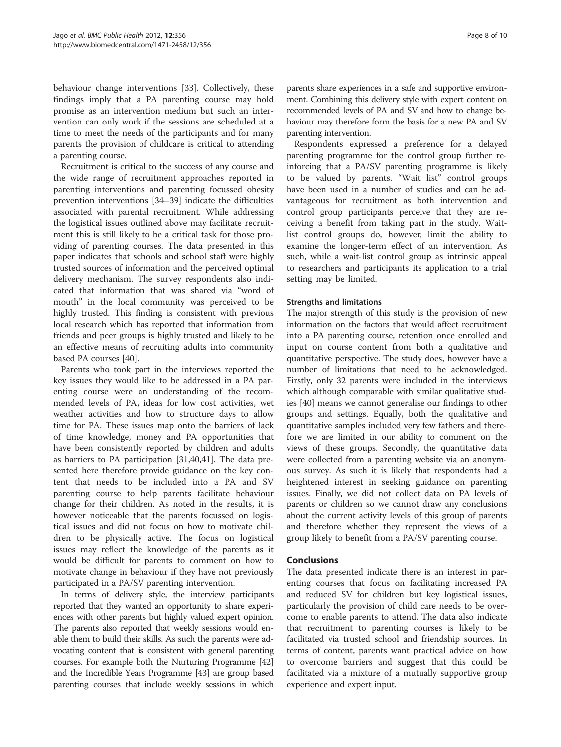behaviour change interventions [[33\]](#page-9-0). Collectively, these findings imply that a PA parenting course may hold promise as an intervention medium but such an intervention can only work if the sessions are scheduled at a time to meet the needs of the participants and for many parents the provision of childcare is critical to attending a parenting course.

Recruitment is critical to the success of any course and the wide range of recruitment approaches reported in parenting interventions and parenting focussed obesity prevention interventions [\[34](#page-9-0)–[39\]](#page-10-0) indicate the difficulties associated with parental recruitment. While addressing the logistical issues outlined above may facilitate recruitment this is still likely to be a critical task for those providing of parenting courses. The data presented in this paper indicates that schools and school staff were highly trusted sources of information and the perceived optimal delivery mechanism. The survey respondents also indicated that information that was shared via "word of mouth" in the local community was perceived to be highly trusted. This finding is consistent with previous local research which has reported that information from friends and peer groups is highly trusted and likely to be an effective means of recruiting adults into community based PA courses [[40](#page-10-0)].

Parents who took part in the interviews reported the key issues they would like to be addressed in a PA parenting course were an understanding of the recommended levels of PA, ideas for low cost activities, wet weather activities and how to structure days to allow time for PA. These issues map onto the barriers of lack of time knowledge, money and PA opportunities that have been consistently reported by children and adults as barriers to PA participation [\[31](#page-9-0)[,40,41\]](#page-10-0). The data presented here therefore provide guidance on the key content that needs to be included into a PA and SV parenting course to help parents facilitate behaviour change for their children. As noted in the results, it is however noticeable that the parents focussed on logistical issues and did not focus on how to motivate children to be physically active. The focus on logistical issues may reflect the knowledge of the parents as it would be difficult for parents to comment on how to motivate change in behaviour if they have not previously participated in a PA/SV parenting intervention.

In terms of delivery style, the interview participants reported that they wanted an opportunity to share experiences with other parents but highly valued expert opinion. The parents also reported that weekly sessions would enable them to build their skills. As such the parents were advocating content that is consistent with general parenting courses. For example both the Nurturing Programme [\[42](#page-10-0)] and the Incredible Years Programme [\[43\]](#page-10-0) are group based parenting courses that include weekly sessions in which parents share experiences in a safe and supportive environment. Combining this delivery style with expert content on recommended levels of PA and SV and how to change behaviour may therefore form the basis for a new PA and SV parenting intervention.

Respondents expressed a preference for a delayed parenting programme for the control group further reinforcing that a PA/SV parenting programme is likely to be valued by parents. "Wait list" control groups have been used in a number of studies and can be advantageous for recruitment as both intervention and control group participants perceive that they are receiving a benefit from taking part in the study. Waitlist control groups do, however, limit the ability to examine the longer-term effect of an intervention. As such, while a wait-list control group as intrinsic appeal to researchers and participants its application to a trial setting may be limited.

#### Strengths and limitations

The major strength of this study is the provision of new information on the factors that would affect recruitment into a PA parenting course, retention once enrolled and input on course content from both a qualitative and quantitative perspective. The study does, however have a number of limitations that need to be acknowledged. Firstly, only 32 parents were included in the interviews which although comparable with similar qualitative studies [\[40](#page-10-0)] means we cannot generalise our findings to other groups and settings. Equally, both the qualitative and quantitative samples included very few fathers and therefore we are limited in our ability to comment on the views of these groups. Secondly, the quantitative data were collected from a parenting website via an anonymous survey. As such it is likely that respondents had a heightened interest in seeking guidance on parenting issues. Finally, we did not collect data on PA levels of parents or children so we cannot draw any conclusions about the current activity levels of this group of parents and therefore whether they represent the views of a group likely to benefit from a PA/SV parenting course.

## Conclusions

The data presented indicate there is an interest in parenting courses that focus on facilitating increased PA and reduced SV for children but key logistical issues, particularly the provision of child care needs to be overcome to enable parents to attend. The data also indicate that recruitment to parenting courses is likely to be facilitated via trusted school and friendship sources. In terms of content, parents want practical advice on how to overcome barriers and suggest that this could be facilitated via a mixture of a mutually supportive group experience and expert input.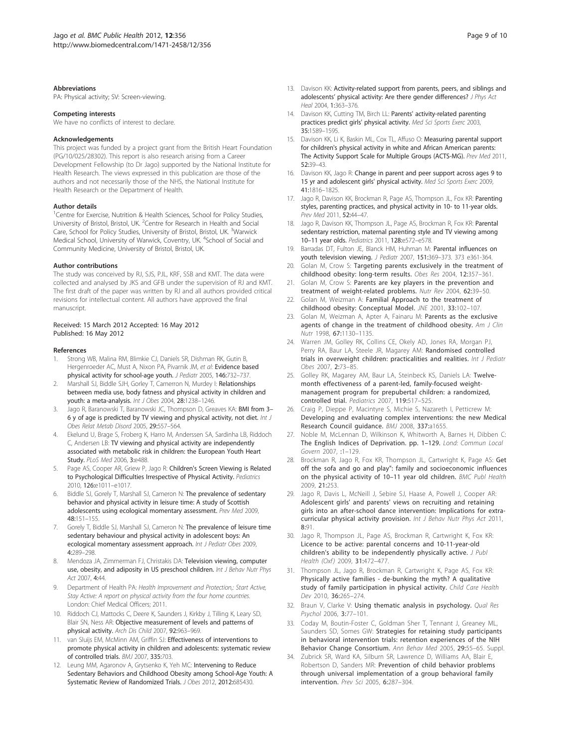#### <span id="page-9-0"></span>**Abbreviations**

PA: Physical activity; SV: Screen-viewing.

#### Competing interests

We have no conflicts of interest to declare.

#### Acknowledgements

This project was funded by a project grant from the British Heart Foundation (PG/10/025/28302). This report is also research arising from a Career Development Fellowship (to Dr Jago) supported by the National Institute for Health Research. The views expressed in this publication are those of the authors and not necessarily those of the NHS, the National Institute for Health Research or the Department of Health.

#### Author details

<sup>1</sup>Centre for Exercise, Nutrition & Health Sciences, School for Policy Studies, University of Bristol, Bristol, UK. <sup>2</sup> Centre for Research in Health and Social Care, School for Policy Studies, University of Bristol, Bristol, UK. <sup>3</sup>Warwick Medical School, University of Warwick, Coventry, UK. <sup>4</sup>School of Social and Community Medicine, University of Bristol, Bristol, UK.

#### Author contributions

The study was conceived by RJ, SJS, PJL, KRF, SSB and KMT. The data were collected and analysed by JKS and GFB under the supervision of RJ and KMT. The first draft of the paper was written by RJ and all authors provided critical revisions for intellectual content. All authors have approved the final manuscript.

#### Received: 15 March 2012 Accepted: 16 May 2012 Published: 16 May 2012

#### References

- 1. Strong WB, Malina RM, Blimkie CJ, Daniels SR, Dishman RK, Gutin B, Hergenroeder AC, Must A, Nixon PA, Pivarnik JM, et al: Evidence based physical activity for school-age youth. J Pediatr 2005, 146:732-737.
- Marshall SJ, Biddle SJH, Gorley T, Camerron N, Murdey I: Relationships between media use, body fatness and physical activity in children and youth: a meta-analysis. Int J Obes 2004, 28:1238-1246.
- 3. Jago R, Baranowski T, Baranowski JC, Thompson D, Greaves KA: BMI from 3-6 y of age is predicted by TV viewing and physical activity, not diet. Int J Obes Relat Metab Disord 2005, 29:557–564.
- 4. Ekelund U, Brage S, Froberg K, Harro M, Anderssen SA, Sardinha LB, Riddoch C, Andersen LB: TV viewing and physical activity are independently associated with metabolic risk in children: the European Youth Heart Study. PLoS Med 2006, 3:e488.
- Page AS, Cooper AR, Griew P, Jago R: Children's Screen Viewing is Related to Psychological Difficulties Irrespective of Physical Activity. Pediatrics 2010, 126:e1011–e1017.
- Biddle SJ, Gorely T, Marshall SJ, Cameron N: The prevalence of sedentary behavior and physical activity in leisure time: A study of Scottish adolescents using ecological momentary assessment. Prev Med 2009, 48:151–155.
- 7. Gorely T, Biddle SJ, Marshall SJ, Cameron N: The prevalence of leisure time sedentary behaviour and physical activity in adolescent boys: An ecological momentary assessment approach. Int J Pediatr Obes 2009, 4:289–298.
- 8. Mendoza JA, Zimmerman FJ, Christakis DA: Television viewing, computer use, obesity, and adiposity in US preschool children. Int J Behav Nutr Phys Act 2007, 4:44.
- Department of Health PA: Health Improvement and Protection,: Start Active, Stay Active: A report on physical activity from the four home countries. London: Chief Medical Officers; 2011.
- 10. Riddoch CJ, Mattocks C, Deere K, Saunders J, Kirkby J, Tilling K, Leary SD, Blair SN, Ness AR: Objective measurement of levels and patterns of physical activity. Arch Dis Child 2007, 92:963–969.
- 11. van Sluijs EM, McMinn AM, Griffin SJ: Effectiveness of interventions to promote physical activity in children and adolescents: systematic review of controlled trials. BMJ 2007, 335:703.
- 12. Leung MM, Agaronov A, Grytsenko K, Yeh MC: Intervening to Reduce Sedentary Behaviors and Childhood Obesity among School-Age Youth: A Systematic Review of Randomized Trials. J Obes 2012, 2012:685430.
- 13. Davison KK: Activity-related support from parents, peers, and siblings and adolescents' physical activity: Are there gender differences? J Phys Act Heal 2004, 1:363–376.
- 14. Davison KK, Cutting TM, Birch LL: Parents' activity-related parenting practices predict girls' physical activity. Med Sci Sports Exerc 2003, 35:1589–1595.
- 15. Davison KK, Li K, Baskin ML, Cox TL, Affuso O: Measuring parental support for children's physical activity in white and African American parents: The Activity Support Scale for Multiple Groups (ACTS-MG). Prev Med 2011, 52:39–43.
- 16. Davison KK, Jago R: Change in parent and peer support across ages 9 to 15 yr and adolescent girls' physical activity. Med Sci Sports Exerc 2009, 41:1816–1825.
- 17. Jago R, Davison KK, Brockman R, Page AS, Thompson JL, Fox KR: Parenting styles, parenting practices, and physical activity in 10- to 11-year olds. Prev Med 2011, 52:44–47.
- 18. Jago R, Davison KK, Thompson JL, Page AS, Brockman R, Fox KR: Parental sedentary restriction, maternal parenting style and TV viewing among 10–11 year olds. Pediatrics 2011, 128:e572–e578.
- 19. Barradas DT, Fulton JE, Blanck HM, Huhman M: Parental influences on youth television viewing. J Pediatr 2007, 151:369–373. 373 e361-364.
- 20. Golan M, Crow S: Targeting parents exclusively in the treatment of childhood obesity: long-term results. Obes Res 2004, 12:357–361.
- 21. Golan M, Crow S: Parents are key players in the prevention and treatment of weight-related problems. Nutr Rev 2004, 62:39–50.
- 22. Golan M, Weizman A: Familial Approach to the treatment of childhood obesity: Conceptual Model. JNE 2001, 33:102–107.
- 23. Golan M, Weizman A, Apter A, Fainaru M: Parents as the exclusive agents of change in the treatment of childhood obesity. Am J Clin Nutr 1998, 67:1130–1135.
- 24. Warren JM, Golley RK, Collins CE, Okely AD, Jones RA, Morgan PJ, Perry RA, Baur LA, Steele JR, Magarey AM: Randomised controlled trials in overweight children: practicalities and realities. Int J Pediatr Obes 2007, 2:73–85.
- 25. Golley RK, Magarey AM, Baur LA, Steinbeck KS, Daniels LA: Twelvemonth effectiveness of a parent-led, family-focused weightmanagement program for prepubertal children: a randomized, controlled trial. Pediatrics 2007, 119:517–525.
- 26. Craig P, Dieppe P, Macintyre S, Michie S, Nazareth I, Petticrew M: Developing and evaluating complex interventions: the new Medical Research Council guidance. BMJ 2008, 337:a1655.
- 27. Noble M, McLennan D, Wilkinson K, Whitworth A, Barnes H, Dibben C: The English Indices of Deprivation. pp. 1-129. Lond: Commun Local Govern 2007, :1–129.
- 28. Brockman R, Jago R, Fox KR, Thompson JL, Cartwright K, Page AS: Get off the sofa and go and play": family and socioeconomic influences on the physical activity of 10–11 year old children. BMC Publ Health 2009, 21:253.
- 29. Jago R, Davis L, McNeill J, Sebire SJ, Haase A, Powell J, Cooper AR: Adolescent girls' and parents' views on recruiting and retaining girls into an after-school dance intervention: Implications for extracurricular physical activity provision. Int J Behav Nutr Phys Act 2011, 8:91.
- 30. Jago R, Thompson JL, Page AS, Brockman R, Cartwright K, Fox KR: Licence to be active: parental concerns and 10-11-year-old children's ability to be independently physically active. J Publ Health (Oxf) 2009, 31:472–477.
- 31. Thompson JL, Jago R, Brockman R, Cartwright K, Page AS, Fox KR: Physically active families - de-bunking the myth? A qualitative study of family participation in physical activity. Child Care Health Dev 2010, 36:265–274.
- 32. Braun V, Clarke V: Using thematic analysis in psychology. Qual Res Psychol 2006, 3:77–101.
- 33. Coday M, Boutin-Foster C, Goldman Sher T, Tennant J, Greaney ML, Saunders SD, Somes GW: Strategies for retaining study participants in behavioral intervention trials: retention experiences of the NIH Behavior Change Consortium. Ann Behav Med 2005, 29:55–65. Suppl.
- 34. Zubrick SR, Ward KA, Silburn SR, Lawrence D, Williams AA, Blair E, Robertson D, Sanders MR: Prevention of child behavior problems through universal implementation of a group behavioral family intervention. Prev Sci 2005, 6:287–304.